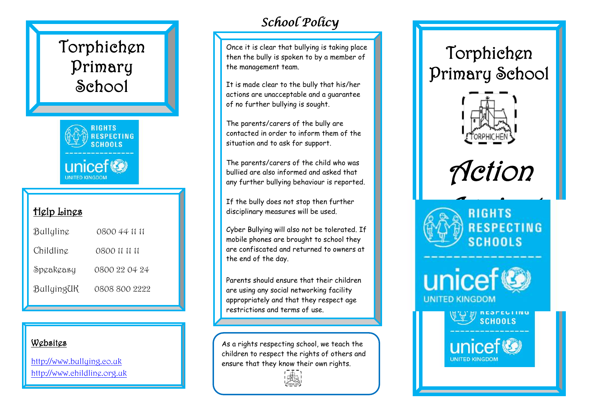# Torphichen Primary **School**



# Help Lines

| Bullyline  | 0800 44 11 11 |
|------------|---------------|
| Childling  | 0800 11 11 11 |
| Speakeasy  | 0800 22 04 24 |
| BullyingUK | 0808 800 2222 |

#### Websites

http://www.bulluing.co.uk [http://www.childline.org.uk](http://www.childline.org.uk/)

# *School Policy*

Once it is clear that bullying is taking place then the bully is spoken to by a member of the management team.

It is made clear to the bully that his/her actions are unacceptable and a guarantee of no further bullying is sought.

The parents/carers of the bully are contacted in order to inform them of the situation and to ask for support.

The parents/carers of the child who was bullied are also informed and asked that any further bullying behaviour is reported.

If the bully does not stop then further disciplinary measures will be used.

Cyber Bullying will also not be tolerated. If mobile phones are brought to school they are confiscated and returned to owners at the end of the day.

Parents should ensure that their children are using any social networking facility appropriately and that they respect age restrictions and terms of use.

As a rights respecting school, we teach the children to respect the rights of others and ensure that they know their own rights.



# Torphichen Primary School